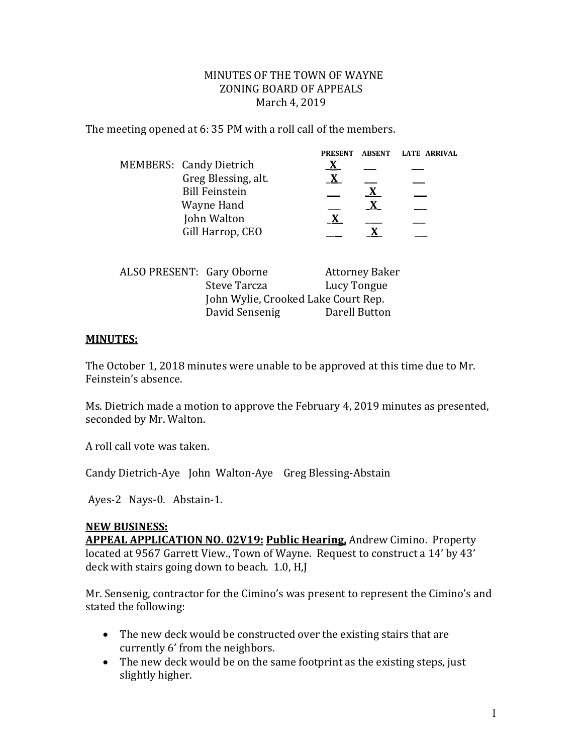## MINUTES OF THE TOWN OF WAYNE ZONING BOARD OF APPEALS March 4, 2019

The meeting opened at 6: 35 PM with a roll call of the members.

|                                | <b>PRESENT</b> | <b>ABSENT</b> | <b>LATE ARRIVAL</b> |
|--------------------------------|----------------|---------------|---------------------|
| <b>MEMBERS: Candy Dietrich</b> |                |               |                     |
| Greg Blessing, alt.            |                |               |                     |
| <b>Bill Feinstein</b>          |                |               |                     |
| Wayne Hand                     |                |               |                     |
| John Walton                    |                |               |                     |
| Gill Harrop, CEO               |                |               |                     |
|                                |                |               |                     |

| ALSO PRESENT: Gary Oborne |                                     | <b>Attorney Baker</b> |  |
|---------------------------|-------------------------------------|-----------------------|--|
|                           | Steve Tarcza                        | Lucy Tongue           |  |
|                           | John Wylie, Crooked Lake Court Rep. |                       |  |
|                           | David Sensenig                      | Darell Button         |  |
|                           |                                     |                       |  |

## **MINUTES:**

The October 1, 2018 minutes were unable to be approved at this time due to Mr. Feinstein's absence.

Ms. Dietrich made a motion to approve the February 4, 2019 minutes as presented, seconded by Mr. Walton.

A roll call vote was taken.

Candy Dietrich-Aye John Walton-Aye Greg Blessing-Abstain

Ayes-2 Nays-0. Abstain-1.

## **NEW BUSINESS:**

**APPEAL APPLICATION NO. 02V19: Public Hearing,** Andrew Cimino. Property located at 9567 Garrett View., Town of Wayne. Request to construct a 14' by 43' deck with stairs going down to beach. 1.0, H,J

Mr. Sensenig, contractor for the Cimino's was present to represent the Cimino's and stated the following:

- The new deck would be constructed over the existing stairs that are currently 6' from the neighbors.
- The new deck would be on the same footprint as the existing steps, just slightly higher.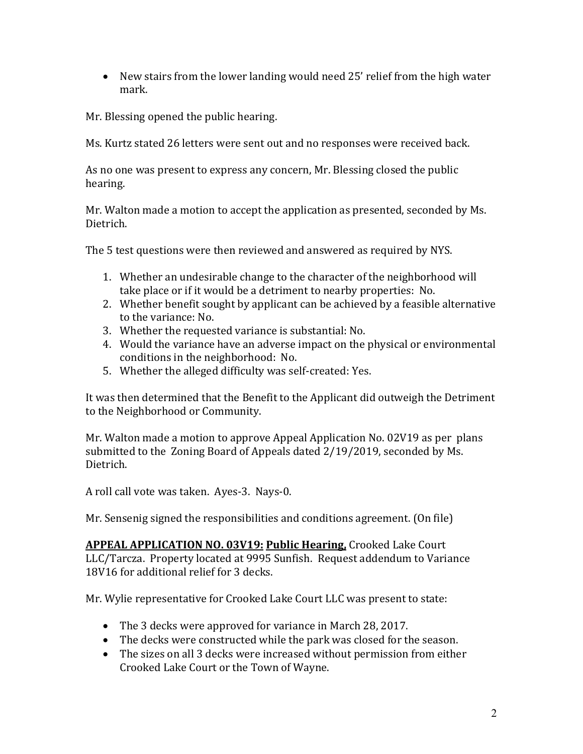New stairs from the lower landing would need 25' relief from the high water mark.

Mr. Blessing opened the public hearing.

Ms. Kurtz stated 26 letters were sent out and no responses were received back.

As no one was present to express any concern, Mr. Blessing closed the public hearing.

Mr. Walton made a motion to accept the application as presented, seconded by Ms. Dietrich.

The 5 test questions were then reviewed and answered as required by NYS.

- 1. Whether an undesirable change to the character of the neighborhood will take place or if it would be a detriment to nearby properties: No.
- 2. Whether benefit sought by applicant can be achieved by a feasible alternative to the variance: No.
- 3. Whether the requested variance is substantial: No.
- 4. Would the variance have an adverse impact on the physical or environmental conditions in the neighborhood: No.
- 5. Whether the alleged difficulty was self-created: Yes.

It was then determined that the Benefit to the Applicant did outweigh the Detriment to the Neighborhood or Community.

Mr. Walton made a motion to approve Appeal Application No. 02V19 as per plans submitted to the Zoning Board of Appeals dated 2/19/2019, seconded by Ms. Dietrich.

A roll call vote was taken. Ayes-3. Nays-0.

Mr. Sensenig signed the responsibilities and conditions agreement. (On file)

**APPEAL APPLICATION NO. 03V19: Public Hearing,** Crooked Lake Court LLC/Tarcza. Property located at 9995 Sunfish. Request addendum to Variance 18V16 for additional relief for 3 decks.

Mr. Wylie representative for Crooked Lake Court LLC was present to state:

- The 3 decks were approved for variance in March 28, 2017.
- The decks were constructed while the park was closed for the season.
- The sizes on all 3 decks were increased without permission from either Crooked Lake Court or the Town of Wayne.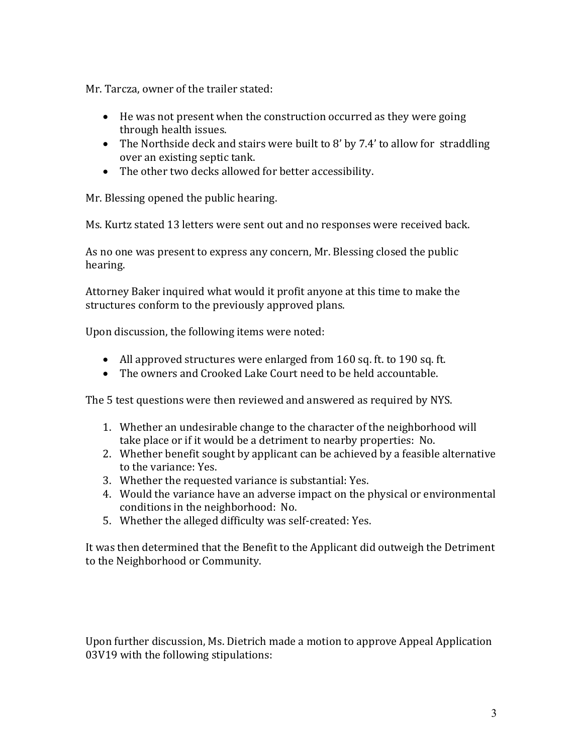Mr. Tarcza, owner of the trailer stated:

- He was not present when the construction occurred as they were going through health issues.
- The Northside deck and stairs were built to 8' by 7.4' to allow for straddling over an existing septic tank.
- The other two decks allowed for better accessibility.

Mr. Blessing opened the public hearing.

Ms. Kurtz stated 13 letters were sent out and no responses were received back.

As no one was present to express any concern, Mr. Blessing closed the public hearing.

Attorney Baker inquired what would it profit anyone at this time to make the structures conform to the previously approved plans.

Upon discussion, the following items were noted:

- All approved structures were enlarged from 160 sq. ft. to 190 sq. ft.
- The owners and Crooked Lake Court need to be held accountable.

The 5 test questions were then reviewed and answered as required by NYS.

- 1. Whether an undesirable change to the character of the neighborhood will take place or if it would be a detriment to nearby properties: No.
- 2. Whether benefit sought by applicant can be achieved by a feasible alternative to the variance: Yes.
- 3. Whether the requested variance is substantial: Yes.
- 4. Would the variance have an adverse impact on the physical or environmental conditions in the neighborhood: No.
- 5. Whether the alleged difficulty was self-created: Yes.

It was then determined that the Benefit to the Applicant did outweigh the Detriment to the Neighborhood or Community.

Upon further discussion, Ms. Dietrich made a motion to approve Appeal Application 03V19 with the following stipulations: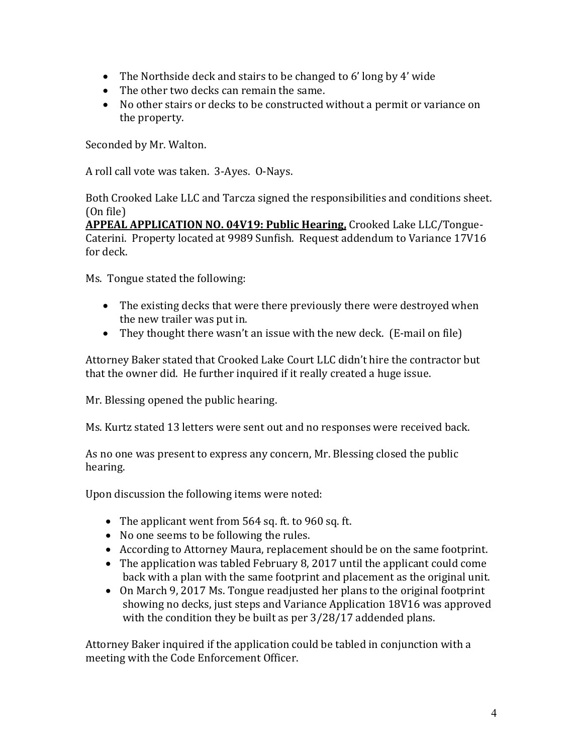- The Northside deck and stairs to be changed to 6' long by 4' wide
- The other two decks can remain the same.
- No other stairs or decks to be constructed without a permit or variance on the property.

Seconded by Mr. Walton.

A roll call vote was taken. 3-Ayes. O-Nays.

Both Crooked Lake LLC and Tarcza signed the responsibilities and conditions sheet. (On file)

**APPEAL APPLICATION NO. 04V19: Public Hearing,** Crooked Lake LLC/Tongue-Caterini. Property located at 9989 Sunfish. Request addendum to Variance 17V16 for deck.

Ms. Tongue stated the following:

- The existing decks that were there previously there were destroyed when the new trailer was put in.
- They thought there wasn't an issue with the new deck. (E-mail on file)

Attorney Baker stated that Crooked Lake Court LLC didn't hire the contractor but that the owner did. He further inquired if it really created a huge issue.

Mr. Blessing opened the public hearing.

Ms. Kurtz stated 13 letters were sent out and no responses were received back.

As no one was present to express any concern, Mr. Blessing closed the public hearing.

Upon discussion the following items were noted:

- The applicant went from 564 sq. ft. to 960 sq. ft.
- No one seems to be following the rules.
- According to Attorney Maura, replacement should be on the same footprint.
- The application was tabled February 8, 2017 until the applicant could come back with a plan with the same footprint and placement as the original unit.
- On March 9, 2017 Ms. Tongue readjusted her plans to the original footprint showing no decks, just steps and Variance Application 18V16 was approved with the condition they be built as per 3/28/17 addended plans.

Attorney Baker inquired if the application could be tabled in conjunction with a meeting with the Code Enforcement Officer.